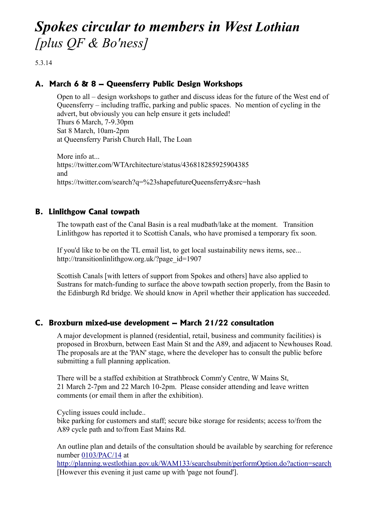# *Spokes circular to members in West Lothian [plus QF & Bo'ness]*

5.3.14

# **A. March 6 & 8 – Queensferry Public Design Workshops**

Open to all – design workshops to gather and discuss ideas for the future of the West end of Queensferry – including traffic, parking and public spaces. No mention of cycling in the advert, but obviously you can help ensure it gets included! Thurs 6 March, 7-9.30pm Sat 8 March, 10am-2pm at Queensferry Parish Church Hall, The Loan

More info at... https://twitter.com/WTArchitecture/status/436818285925904385 and https://twitter.com/search?q=%23shapefutureQueensferry&src=hash

## **B. Linlithgow Canal towpath**

The towpath east of the Canal Basin is a real mudbath/lake at the moment. Transition Linlithgow has reported it to Scottish Canals, who have promised a temporary fix soon.

If you'd like to be on the TL email list, to get local sustainability news items, see... http://transitionlinlithgow.org.uk/?page\_id=1907

Scottish Canals [with letters of support from Spokes and others] have also applied to Sustrans for match-funding to surface the above towpath section properly, from the Basin to the Edinburgh Rd bridge. We should know in April whether their application has succeeded.

#### **C. Broxburn mixed-use development – March 21/22 consultation**

A major development is planned (residential, retail, business and community facilities) is proposed in Broxburn, between East Main St and the A89, and adjacent to Newhouses Road. The proposals are at the 'PAN' stage, where the developer has to consult the public before submitting a full planning application.

There will be a staffed exhibition at Strathbrock Comm'y Centre, W Mains St, 21 March 2-7pm and 22 March 10-2pm. Please consider attending and leave written comments (or email them in after the exhibition).

Cycling issues could include..

bike parking for customers and staff; secure bike storage for residents; access to/from the A89 cycle path and to/from East Mains Rd.

An outline plan and details of the consultation should be available by searching for reference number [0103/PAC/14](http://planning.westlothian.gov.uk/WAM133/showCaseFile.do;jsessionid=77243D81C7ED7CFFA48746BE61188D4A?action=show&appType=Planning&appNumber=0103/PAC/14) at

<http://planning.westlothian.gov.uk/WAM133/searchsubmit/performOption.do?action=search> [However this evening it just came up with 'page not found'].